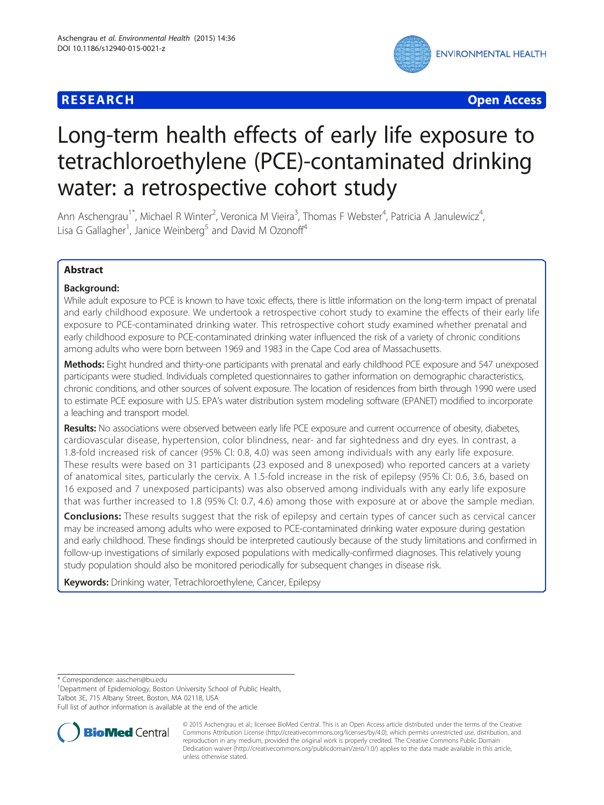# **RESEARCH CHE Open Access**



# Long-term health effects of early life exposure to tetrachloroethylene (PCE)-contaminated drinking water: a retrospective cohort study

Ann Aschengrau<sup>1\*</sup>, Michael R Winter<sup>2</sup>, Veronica M Vieira<sup>3</sup>, Thomas F Webster<sup>4</sup>, Patricia A Janulewicz<sup>4</sup> , Lisa G Gallagher<sup>1</sup>, Janice Weinberg $^5$  and David M Ozonoff $^{\mathsf{d}}$ 

## Abstract

## Background:

While adult exposure to PCE is known to have toxic effects, there is little information on the long-term impact of prenatal and early childhood exposure. We undertook a retrospective cohort study to examine the effects of their early life exposure to PCE-contaminated drinking water. This retrospective cohort study examined whether prenatal and early childhood exposure to PCE-contaminated drinking water influenced the risk of a variety of chronic conditions among adults who were born between 1969 and 1983 in the Cape Cod area of Massachusetts.

Methods: Eight hundred and thirty-one participants with prenatal and early childhood PCE exposure and 547 unexposed participants were studied. Individuals completed questionnaires to gather information on demographic characteristics, chronic conditions, and other sources of solvent exposure. The location of residences from birth through 1990 were used to estimate PCE exposure with U.S. EPA's water distribution system modeling software (EPANET) modified to incorporate a leaching and transport model.

Results: No associations were observed between early life PCE exposure and current occurrence of obesity, diabetes, cardiovascular disease, hypertension, color blindness, near- and far sightedness and dry eyes. In contrast, a 1.8-fold increased risk of cancer (95% CI: 0.8, 4.0) was seen among individuals with any early life exposure. These results were based on 31 participants (23 exposed and 8 unexposed) who reported cancers at a variety of anatomical sites, particularly the cervix. A 1.5-fold increase in the risk of epilepsy (95% CI: 0.6, 3.6, based on 16 exposed and 7 unexposed participants) was also observed among individuals with any early life exposure that was further increased to 1.8 (95% CI: 0.7, 4.6) among those with exposure at or above the sample median.

**Conclusions:** These results suggest that the risk of epilepsy and certain types of cancer such as cervical cancer may be increased among adults who were exposed to PCE-contaminated drinking water exposure during gestation and early childhood. These findings should be interpreted cautiously because of the study limitations and confirmed in follow-up investigations of similarly exposed populations with medically-confirmed diagnoses. This relatively young study population should also be monitored periodically for subsequent changes in disease risk.

Keywords: Drinking water, Tetrachloroethylene, Cancer, Epilepsy

<sup>1</sup>Department of Epidemiology, Boston University School of Public Health, Talbot 3E, 715 Albany Street, Boston, MA 02118, USA

Full list of author information is available at the end of the article



<sup>© 2015</sup> Aschengrau et al.; licensee BioMed Central. This is an Open Access article distributed under the terms of the Creative Commons Attribution License [\(http://creativecommons.org/licenses/by/4.0\)](http://creativecommons.org/licenses/by/4.0), which permits unrestricted use, distribution, and reproduction in any medium, provided the original work is properly credited. The Creative Commons Public Domain Dedication waiver [\(http://creativecommons.org/publicdomain/zero/1.0/](http://creativecommons.org/publicdomain/zero/1.0/)) applies to the data made available in this article, unless otherwise stated.

<sup>\*</sup> Correspondence: [aaschen@bu.edu](mailto:aaschen@bu.edu) <sup>1</sup>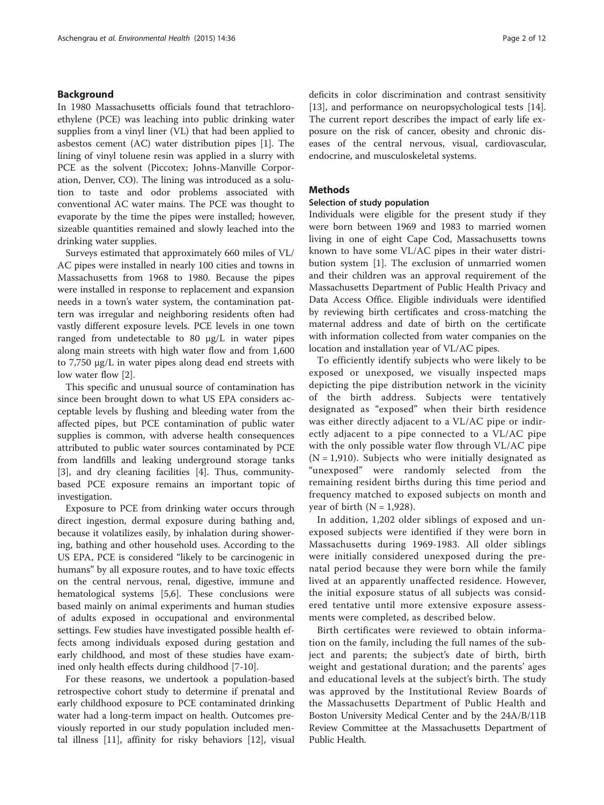## Background

In 1980 Massachusetts officials found that tetrachloroethylene (PCE) was leaching into public drinking water supplies from a vinyl liner (VL) that had been applied to asbestos cement (AC) water distribution pipes [[1\]](#page-10-0). The lining of vinyl toluene resin was applied in a slurry with PCE as the solvent (Piccotex; Johns-Manville Corporation, Denver, CO). The lining was introduced as a solution to taste and odor problems associated with conventional AC water mains. The PCE was thought to evaporate by the time the pipes were installed; however, sizeable quantities remained and slowly leached into the drinking water supplies.

Surveys estimated that approximately 660 miles of VL/ AC pipes were installed in nearly 100 cities and towns in Massachusetts from 1968 to 1980. Because the pipes were installed in response to replacement and expansion needs in a town's water system, the contamination pattern was irregular and neighboring residents often had vastly different exposure levels. PCE levels in one town ranged from undetectable to 80 μg/L in water pipes along main streets with high water flow and from 1,600 to 7,750 μg/L in water pipes along dead end streets with low water flow [\[2\]](#page-10-0).

This specific and unusual source of contamination has since been brought down to what US EPA considers acceptable levels by flushing and bleeding water from the affected pipes, but PCE contamination of public water supplies is common, with adverse health consequences attributed to public water sources contaminated by PCE from landfills and leaking underground storage tanks [[3\]](#page-10-0), and dry cleaning facilities [[4\]](#page-10-0). Thus, communitybased PCE exposure remains an important topic of investigation.

Exposure to PCE from drinking water occurs through direct ingestion, dermal exposure during bathing and, because it volatilizes easily, by inhalation during showering, bathing and other household uses. According to the US EPA, PCE is considered "likely to be carcinogenic in humans" by all exposure routes, and to have toxic effects on the central nervous, renal, digestive, immune and hematological systems [[5,6\]](#page-10-0). These conclusions were based mainly on animal experiments and human studies of adults exposed in occupational and environmental settings. Few studies have investigated possible health effects among individuals exposed during gestation and early childhood, and most of these studies have examined only health effects during childhood [[7](#page-10-0)-[10\]](#page-10-0).

For these reasons, we undertook a population-based retrospective cohort study to determine if prenatal and early childhood exposure to PCE contaminated drinking water had a long-term impact on health. Outcomes previously reported in our study population included mental illness [\[11](#page-10-0)], affinity for risky behaviors [\[12\]](#page-10-0), visual deficits in color discrimination and contrast sensitivity [[13\]](#page-10-0), and performance on neuropsychological tests [\[14](#page-10-0)]. The current report describes the impact of early life exposure on the risk of cancer, obesity and chronic diseases of the central nervous, visual, cardiovascular, endocrine, and musculoskeletal systems.

## Methods

#### Selection of study population

Individuals were eligible for the present study if they were born between 1969 and 1983 to married women living in one of eight Cape Cod, Massachusetts towns known to have some VL/AC pipes in their water distribution system [\[1\]](#page-10-0). The exclusion of unmarried women and their children was an approval requirement of the Massachusetts Department of Public Health Privacy and Data Access Office. Eligible individuals were identified by reviewing birth certificates and cross-matching the maternal address and date of birth on the certificate with information collected from water companies on the location and installation year of VL/AC pipes.

To efficiently identify subjects who were likely to be exposed or unexposed, we visually inspected maps depicting the pipe distribution network in the vicinity of the birth address. Subjects were tentatively designated as "exposed" when their birth residence was either directly adjacent to a VL/AC pipe or indirectly adjacent to a pipe connected to a VL/AC pipe with the only possible water flow through VL/AC pipe  $(N = 1,910)$ . Subjects who were initially designated as "unexposed" were randomly selected from the remaining resident births during this time period and frequency matched to exposed subjects on month and year of birth  $(N = 1,928)$ .

In addition, 1,202 older siblings of exposed and unexposed subjects were identified if they were born in Massachusetts during 1969-1983. All older siblings were initially considered unexposed during the prenatal period because they were born while the family lived at an apparently unaffected residence. However, the initial exposure status of all subjects was considered tentative until more extensive exposure assessments were completed, as described below.

Birth certificates were reviewed to obtain information on the family, including the full names of the subject and parents; the subject's date of birth, birth weight and gestational duration; and the parents' ages and educational levels at the subject's birth. The study was approved by the Institutional Review Boards of the Massachusetts Department of Public Health and Boston University Medical Center and by the 24A/B/11B Review Committee at the Massachusetts Department of Public Health.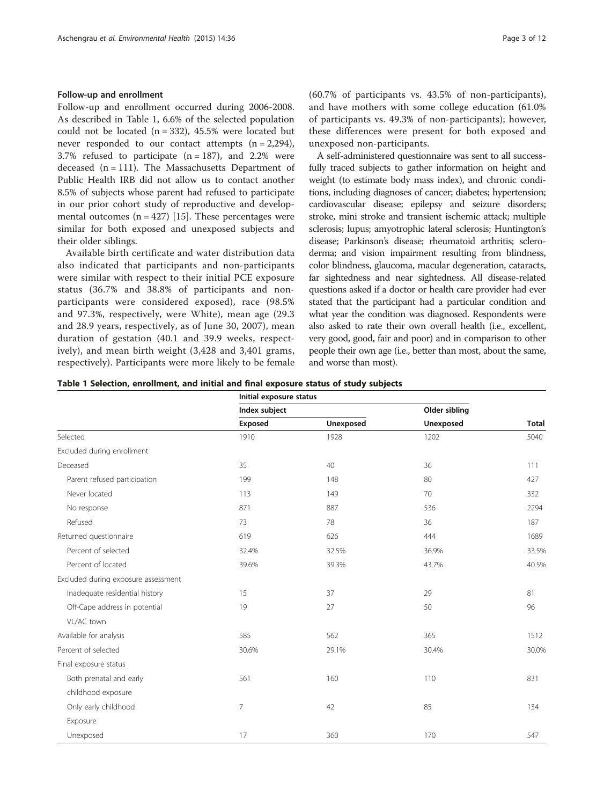#### <span id="page-2-0"></span>Follow-up and enrollment

Follow-up and enrollment occurred during 2006-2008. As described in Table 1, 6.6% of the selected population could not be located  $(n = 332)$ , 45.5% were located but never responded to our contact attempts  $(n = 2,294)$ , 3.7% refused to participate  $(n = 187)$ , and 2.2% were deceased  $(n = 111)$ . The Massachusetts Department of Public Health IRB did not allow us to contact another 8.5% of subjects whose parent had refused to participate in our prior cohort study of reproductive and developmental outcomes  $(n = 427)$  [[15](#page-10-0)]. These percentages were similar for both exposed and unexposed subjects and their older siblings.

Available birth certificate and water distribution data also indicated that participants and non-participants were similar with respect to their initial PCE exposure status (36.7% and 38.8% of participants and nonparticipants were considered exposed), race (98.5% and 97.3%, respectively, were White), mean age (29.3 and 28.9 years, respectively, as of June 30, 2007), mean duration of gestation (40.1 and 39.9 weeks, respectively), and mean birth weight (3,428 and 3,401 grams, respectively). Participants were more likely to be female (60.7% of participants vs. 43.5% of non-participants), and have mothers with some college education (61.0% of participants vs. 49.3% of non-participants); however, these differences were present for both exposed and unexposed non-participants.

A self-administered questionnaire was sent to all successfully traced subjects to gather information on height and weight (to estimate body mass index), and chronic conditions, including diagnoses of cancer; diabetes; hypertension; cardiovascular disease; epilepsy and seizure disorders; stroke, mini stroke and transient ischemic attack; multiple sclerosis; lupus; amyotrophic lateral sclerosis; Huntington's disease; Parkinson's disease; rheumatoid arthritis; scleroderma; and vision impairment resulting from blindness, color blindness, glaucoma, macular degeneration, cataracts, far sightedness and near sightedness. All disease-related questions asked if a doctor or health care provider had ever stated that the participant had a particular condition and what year the condition was diagnosed. Respondents were also asked to rate their own overall health (i.e., excellent, very good, good, fair and poor) and in comparison to other people their own age (i.e., better than most, about the same, and worse than most).

|  |  | Table 1 Selection, enrollment, and initial and final exposure status of study subjects |  |  |  |  |  |  |
|--|--|----------------------------------------------------------------------------------------|--|--|--|--|--|--|
|--|--|----------------------------------------------------------------------------------------|--|--|--|--|--|--|

|                                     | Initial exposure status |           |               |              |
|-------------------------------------|-------------------------|-----------|---------------|--------------|
|                                     | Index subject           |           | Older sibling |              |
|                                     | Exposed                 | Unexposed | Unexposed     | <b>Total</b> |
| Selected                            | 1910                    | 1928      | 1202          | 5040         |
| Excluded during enrollment          |                         |           |               |              |
| Deceased                            | 35                      | 40        | 36            | 111          |
| Parent refused participation        | 199                     | 148       | 80            | 427          |
| Never located                       | 113                     | 149       | 70            | 332          |
| No response                         | 871                     | 887       | 536           | 2294         |
| Refused                             | 73                      | 78        | 36            | 187          |
| Returned questionnaire              | 619                     | 626       | 444           | 1689         |
| Percent of selected                 | 32.4%                   | 32.5%     | 36.9%         | 33.5%        |
| Percent of located                  | 39.6%                   | 39.3%     | 43.7%         | 40.5%        |
| Excluded during exposure assessment |                         |           |               |              |
| Inadequate residential history      | 15                      | 37        | 29            | 81           |
| Off-Cape address in potential       | 19                      | 27        | 50            | 96           |
| VL/AC town                          |                         |           |               |              |
| Available for analysis              | 585                     | 562       | 365           | 1512         |
| Percent of selected                 | 30.6%                   | 29.1%     | 30.4%         | 30.0%        |
| Final exposure status               |                         |           |               |              |
| Both prenatal and early             | 561                     | 160       | 110           | 831          |
| childhood exposure                  |                         |           |               |              |
| Only early childhood                | $\overline{7}$          | 42        | 85            | 134          |
| Exposure                            |                         |           |               |              |
| Unexposed                           | 17                      | 360       | 170           | 547          |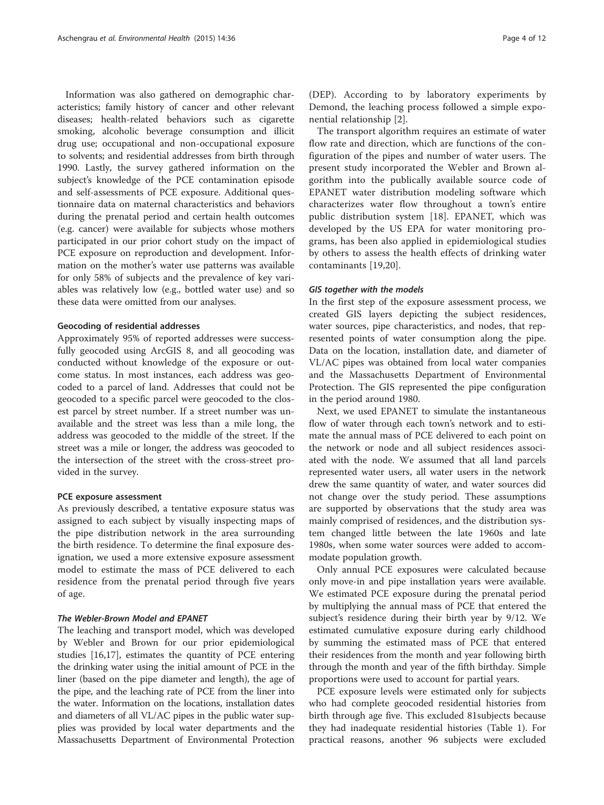Information was also gathered on demographic characteristics; family history of cancer and other relevant diseases; health-related behaviors such as cigarette smoking, alcoholic beverage consumption and illicit drug use; occupational and non-occupational exposure to solvents; and residential addresses from birth through 1990. Lastly, the survey gathered information on the subject's knowledge of the PCE contamination episode and self-assessments of PCE exposure. Additional questionnaire data on maternal characteristics and behaviors during the prenatal period and certain health outcomes (e.g. cancer) were available for subjects whose mothers participated in our prior cohort study on the impact of PCE exposure on reproduction and development. Information on the mother's water use patterns was available for only 58% of subjects and the prevalence of key variables was relatively low (e.g., bottled water use) and so these data were omitted from our analyses.

#### Geocoding of residential addresses

Approximately 95% of reported addresses were successfully geocoded using ArcGIS 8, and all geocoding was conducted without knowledge of the exposure or outcome status. In most instances, each address was geocoded to a parcel of land. Addresses that could not be geocoded to a specific parcel were geocoded to the closest parcel by street number. If a street number was unavailable and the street was less than a mile long, the address was geocoded to the middle of the street. If the street was a mile or longer, the address was geocoded to the intersection of the street with the cross-street provided in the survey.

#### PCE exposure assessment

As previously described, a tentative exposure status was assigned to each subject by visually inspecting maps of the pipe distribution network in the area surrounding the birth residence. To determine the final exposure designation, we used a more extensive exposure assessment model to estimate the mass of PCE delivered to each residence from the prenatal period through five years of age.

#### The Webler-Brown Model and EPANET

The leaching and transport model, which was developed by Webler and Brown for our prior epidemiological studies [[16](#page-10-0),[17](#page-11-0)], estimates the quantity of PCE entering the drinking water using the initial amount of PCE in the liner (based on the pipe diameter and length), the age of the pipe, and the leaching rate of PCE from the liner into the water. Information on the locations, installation dates and diameters of all VL/AC pipes in the public water supplies was provided by local water departments and the Massachusetts Department of Environmental Protection (DEP). According to by laboratory experiments by Demond, the leaching process followed a simple exponential relationship [[2\]](#page-10-0).

The transport algorithm requires an estimate of water flow rate and direction, which are functions of the configuration of the pipes and number of water users. The present study incorporated the Webler and Brown algorithm into the publically available source code of EPANET water distribution modeling software which characterizes water flow throughout a town's entire public distribution system [\[18](#page-11-0)]. EPANET, which was developed by the US EPA for water monitoring programs, has been also applied in epidemiological studies by others to assess the health effects of drinking water contaminants [[19,20\]](#page-11-0).

## GIS together with the models

In the first step of the exposure assessment process, we created GIS layers depicting the subject residences, water sources, pipe characteristics, and nodes, that represented points of water consumption along the pipe. Data on the location, installation date, and diameter of VL/AC pipes was obtained from local water companies and the Massachusetts Department of Environmental Protection. The GIS represented the pipe configuration in the period around 1980.

Next, we used EPANET to simulate the instantaneous flow of water through each town's network and to estimate the annual mass of PCE delivered to each point on the network or node and all subject residences associated with the node. We assumed that all land parcels represented water users, all water users in the network drew the same quantity of water, and water sources did not change over the study period. These assumptions are supported by observations that the study area was mainly comprised of residences, and the distribution system changed little between the late 1960s and late 1980s, when some water sources were added to accommodate population growth.

Only annual PCE exposures were calculated because only move-in and pipe installation years were available. We estimated PCE exposure during the prenatal period by multiplying the annual mass of PCE that entered the subject's residence during their birth year by 9/12. We estimated cumulative exposure during early childhood by summing the estimated mass of PCE that entered their residences from the month and year following birth through the month and year of the fifth birthday. Simple proportions were used to account for partial years.

PCE exposure levels were estimated only for subjects who had complete geocoded residential histories from birth through age five. This excluded 81subjects because they had inadequate residential histories (Table [1\)](#page-2-0). For practical reasons, another 96 subjects were excluded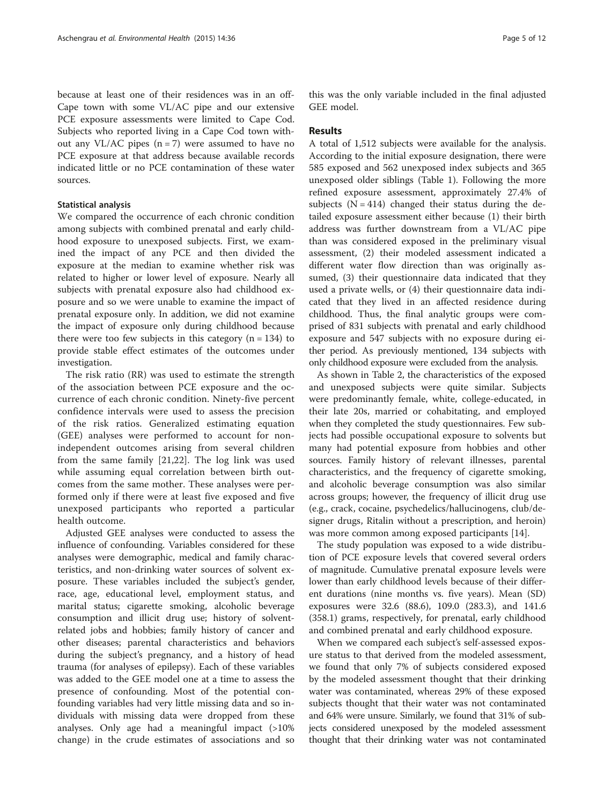because at least one of their residences was in an off-Cape town with some VL/AC pipe and our extensive PCE exposure assessments were limited to Cape Cod. Subjects who reported living in a Cape Cod town without any VL/AC pipes  $(n = 7)$  were assumed to have no PCE exposure at that address because available records indicated little or no PCE contamination of these water sources.

## Statistical analysis

We compared the occurrence of each chronic condition among subjects with combined prenatal and early childhood exposure to unexposed subjects. First, we examined the impact of any PCE and then divided the exposure at the median to examine whether risk was related to higher or lower level of exposure. Nearly all subjects with prenatal exposure also had childhood exposure and so we were unable to examine the impact of prenatal exposure only. In addition, we did not examine the impact of exposure only during childhood because there were too few subjects in this category  $(n = 134)$  to provide stable effect estimates of the outcomes under investigation.

The risk ratio (RR) was used to estimate the strength of the association between PCE exposure and the occurrence of each chronic condition. Ninety-five percent confidence intervals were used to assess the precision of the risk ratios. Generalized estimating equation (GEE) analyses were performed to account for nonindependent outcomes arising from several children from the same family [\[21](#page-11-0),[22\]](#page-11-0). The log link was used while assuming equal correlation between birth outcomes from the same mother. These analyses were performed only if there were at least five exposed and five unexposed participants who reported a particular health outcome.

Adjusted GEE analyses were conducted to assess the influence of confounding. Variables considered for these analyses were demographic, medical and family characteristics, and non-drinking water sources of solvent exposure. These variables included the subject's gender, race, age, educational level, employment status, and marital status; cigarette smoking, alcoholic beverage consumption and illicit drug use; history of solventrelated jobs and hobbies; family history of cancer and other diseases; parental characteristics and behaviors during the subject's pregnancy, and a history of head trauma (for analyses of epilepsy). Each of these variables was added to the GEE model one at a time to assess the presence of confounding. Most of the potential confounding variables had very little missing data and so individuals with missing data were dropped from these analyses. Only age had a meaningful impact (>10% change) in the crude estimates of associations and so this was the only variable included in the final adjusted GEE model.

## Results

A total of 1,512 subjects were available for the analysis. According to the initial exposure designation, there were 585 exposed and 562 unexposed index subjects and 365 unexposed older siblings (Table [1\)](#page-2-0). Following the more refined exposure assessment, approximately 27.4% of subjects  $(N = 414)$  changed their status during the detailed exposure assessment either because (1) their birth address was further downstream from a VL/AC pipe than was considered exposed in the preliminary visual assessment, (2) their modeled assessment indicated a different water flow direction than was originally assumed, (3) their questionnaire data indicated that they used a private wells, or (4) their questionnaire data indicated that they lived in an affected residence during childhood. Thus, the final analytic groups were comprised of 831 subjects with prenatal and early childhood exposure and 547 subjects with no exposure during either period. As previously mentioned, 134 subjects with only childhood exposure were excluded from the analysis.

As shown in Table [2,](#page-5-0) the characteristics of the exposed and unexposed subjects were quite similar. Subjects were predominantly female, white, college-educated, in their late 20s, married or cohabitating, and employed when they completed the study questionnaires. Few subjects had possible occupational exposure to solvents but many had potential exposure from hobbies and other sources. Family history of relevant illnesses, parental characteristics, and the frequency of cigarette smoking, and alcoholic beverage consumption was also similar across groups; however, the frequency of illicit drug use (e.g., crack, cocaine, psychedelics/hallucinogens, club/designer drugs, Ritalin without a prescription, and heroin) was more common among exposed participants [\[14](#page-10-0)].

The study population was exposed to a wide distribution of PCE exposure levels that covered several orders of magnitude. Cumulative prenatal exposure levels were lower than early childhood levels because of their different durations (nine months vs. five years). Mean (SD) exposures were 32.6 (88.6), 109.0 (283.3), and 141.6 (358.1) grams, respectively, for prenatal, early childhood and combined prenatal and early childhood exposure.

When we compared each subject's self-assessed exposure status to that derived from the modeled assessment, we found that only 7% of subjects considered exposed by the modeled assessment thought that their drinking water was contaminated, whereas 29% of these exposed subjects thought that their water was not contaminated and 64% were unsure. Similarly, we found that 31% of subjects considered unexposed by the modeled assessment thought that their drinking water was not contaminated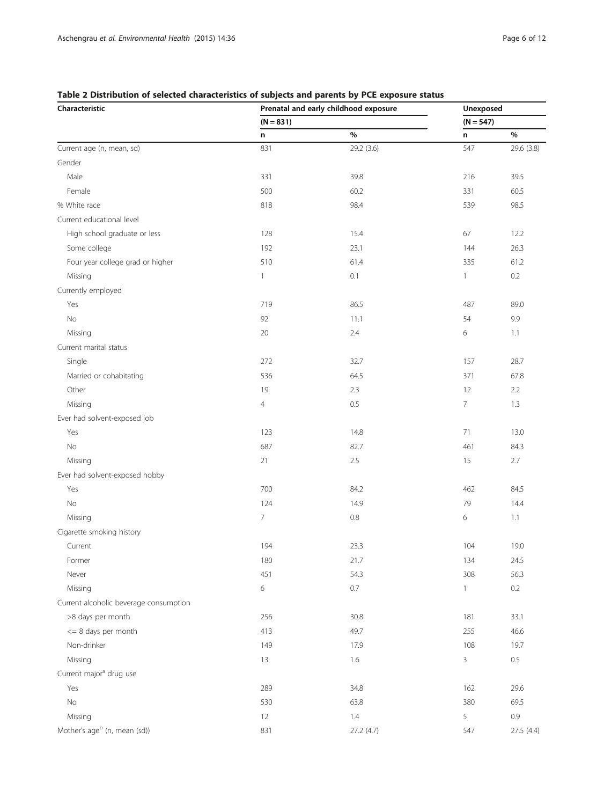## Characteristic Prenatal and early childhood exposure Unexposed  $(N = 831)$   $(N = 547)$ n % 9% n % Current age (n, mean, sd) 831 29.2 (3.6) 547 29.6 (3.8) Gender Male 331 39.8 216 39.5 Female 50.5 331 60.5 and 500 500 60.2 500 60.2 331 60.5 and 50.5 and 50.5 and 50.5 and 50.5 and 50.5 and 50.5  $\frac{1}{2}$ % White race 38.59 539 98.5  $\frac{818}{2}$  98.4 539 98.5  $\frac{98.5}{2}$  98.5  $\frac{98.5}{2}$  98.5  $\frac{98.5}{2}$ Current educational level High school graduate or less and the set of the control of the 12.2 and the 12.2 and the 12.2 and the 12.2 and the 12.2 and the 12.2 and the 12.2 and the 12.2 and the 12.2 and the 12.2 and the 12.2 and the 12.2 and the 12. Some college 192 23.1 192 23.1 23.1 144 26.3 Four year college grad or higher 61.2 Missing 1 0.2 مليون 1,000 مليون 1 0.1 مليون 1 0.2 مليون 1 0.2 مليون 1 0.2 مليون 1 0.2 مليون 1 0.2 مليون 1 0.2 Currently employed Yes 29.0 and 20.0 and 20.0 and 20.0 and 20.0 and 20.0 and 20.0 and 20.0 and 20.0 and 20.0 and 20.0 and 20.0 and 20.0 and 20.0 and 20.0 and 20.0 and 20.0 and 20.0 and 20.0 and 20.0 and 20.0 and 20.0 and 20.0 and 20.0 and 20 No 54 9.9 Missing 20 2.4 6 1.1 Current marital status Single 272 32.7 157 28.7 Married or cohabitating and the state of the state of the state of the state of the state of the state of the state of the state of the state of the state of the state of the state of the state of the state of the state of Other 19 2.3 12 2.2 Missing  $\begin{array}{ccccccc} 1.3 & 1.3 & 1.3 \end{array}$ Ever had solvent-exposed job Yes 123 14.8 71 13.0 No 34.3 Missing 21 2.5 15 2.7 Ever had solvent-exposed hobby Yes 200 84.2 462 84.5 No 124 124 14.9 79 14.4  $M$ issing 6 1.1 and 5 1.1 and 5 1.1 and 5 1.1 and 5 1.1 and 5 1.1 and 5 1.1 and 5 1.1 and 5 1.1 and 5 1.1 and 5 1.1 and 5 1.1 and 5 1.1 and 5 1.1 and 5 1.1 and 5 1.1 and 5 1.1 and 5 1.1 and 5 1.1 and 5 1.1 and 5 1.1 and 5 Cigarette smoking history Current 23.3 23.3 104 19.0 Former 180 21.7 134 24.5 Never 451 54.3 308 56.3  $M$ issing and the contract of the contract of the contract of  $\sim$  0.7  $\sim$  0.2  $\sim$  1  $\sim$  0.2 Current alcoholic beverage consumption >8 days per month 256 30.8 181 33.1  $\leq$  8 days per month  $\leq$  413 49.7 255 46.6 Non-drinker 19.7 108 19.7 12.9 12.9 17.9 108 19.7 17.9 108 19.7 12.9 108 19.7 108 109.7 12.9 108 19.7 12.9 12. Missing 13 1.6 3 0.5 مليون بين مراجع المستخدم المستخدم المستخدم المستخدم المستخدم المستخدم المستخدم المستخدم ا Current major<sup>a</sup> drug use Yes 289 34.8 162 29.6 No 380 69.5  $\frac{1}{30}$  530 69.5  $\frac{1}{30}$  63.8 69.5  $\frac{1}{30}$  69.5 12 1.4 5 0.9 لكن من المسلم التي يتم التي تقدم التي يتم التي تقدم التي تقدم التي تقدم التي تقدم التي تقدم التي Mother's age<sup>b</sup> (n, mean (sd)) 831 27.2 (4.7) 547 27.5 (4.4)

## <span id="page-5-0"></span>Table 2 Distribution of selected characteristics of subjects and parents by PCE exposure status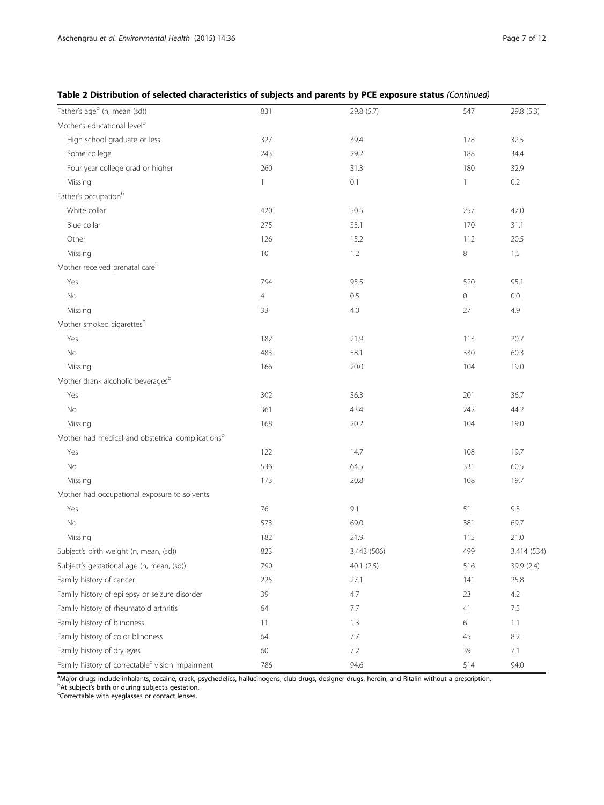## Table 2 Distribution of selected characteristics of subjects and parents by PCE exposure status (Continued)

| Father's age <sup>b</sup> (n, mean (sd))                      | 831    | 29.8 (5.7)  | 547          | 29.8 (5.3)  |
|---------------------------------------------------------------|--------|-------------|--------------|-------------|
| Mother's educational level <sup>b</sup>                       |        |             |              |             |
| High school graduate or less                                  | 327    | 39.4        | 178          | 32.5        |
| Some college                                                  | 243    | 29.2        | 188          | 34.4        |
| Four year college grad or higher                              | 260    | 31.3        | 180          | 32.9        |
| Missing                                                       | 1      | 0.1         | $\mathbf{1}$ | 0.2         |
| Father's occupation <sup>b</sup>                              |        |             |              |             |
| White collar                                                  | 420    | 50.5        | 257          | 47.0        |
| Blue collar                                                   | 275    | 33.1        | 170          | 31.1        |
| Other                                                         | 126    | 15.2        | 112          | 20.5        |
| Missing                                                       | $10\,$ | 1.2         | 8            | 1.5         |
| Mother received prenatal care <sup>b</sup>                    |        |             |              |             |
| Yes                                                           | 794    | 95.5        | 520          | 95.1        |
| No                                                            | 4      | 0.5         | 0            | 0.0         |
| Missing                                                       | 33     | 4.0         | 27           | 4.9         |
| Mother smoked cigarettesb                                     |        |             |              |             |
| Yes                                                           | 182    | 21.9        | 113          | 20.7        |
| No                                                            | 483    | 58.1        | 330          | 60.3        |
| Missing                                                       | 166    | 20.0        | 104          | 19.0        |
| Mother drank alcoholic beveragesb                             |        |             |              |             |
| Yes                                                           | 302    | 36.3        | 201          | 36.7        |
| No                                                            | 361    | 43.4        | 242          | 44.2        |
| Missing                                                       | 168    | 20.2        | 104          | 19.0        |
| Mother had medical and obstetrical complications <sup>b</sup> |        |             |              |             |
| Yes                                                           | 122    | 14.7        | 108          | 19.7        |
| No                                                            | 536    | 64.5        | 331          | 60.5        |
| Missing                                                       | 173    | 20.8        | 108          | 19.7        |
| Mother had occupational exposure to solvents                  |        |             |              |             |
| Yes                                                           | 76     | 9.1         | 51           | 9.3         |
| No                                                            | 573    | 69.0        | 381          | 69.7        |
| Missing                                                       | 182    | 21.9        | 115          | 21.0        |
| Subject's birth weight (n, mean, (sd))                        | 823    | 3,443 (506) | 499          | 3,414 (534) |
| Subject's gestational age (n, mean, (sd))                     | 790    | 40.1(2.5)   | 516          | 39.9 (2.4)  |
| Family history of cancer                                      | 225    | 27.1        | 141          | 25.8        |
| Family history of epilepsy or seizure disorder                | 39     | 4.7         | 23           | 4.2         |
| Family history of rheumatoid arthritis                        | 64     | 7.7         | 41           | 7.5         |
| Family history of blindness                                   | 11     | 1.3         | 6            | 1.1         |
| Family history of color blindness                             | 64     | 7.7         | 45           | 8.2         |
| Family history of dry eyes                                    | 60     | 7.2         | 39           | 7.1         |
| Family history of correctable <sup>c</sup> vision impairment  | 786    | 94.6        | 514          | 94.0        |

<sup>a</sup>Major drugs include inhalants, cocaine, crack, psychedelics, hallucinogens, club drugs, designer drugs, heroin, and Ritalin without a prescription.<br>Pat subject's birth or during subject's gestation.

 $^{\rm b}$ At subject's birth or during subject's gestation.<br><sup>c</sup>Correctable with execlasses or contact lenses.

Correctable with eyeglasses or contact lenses.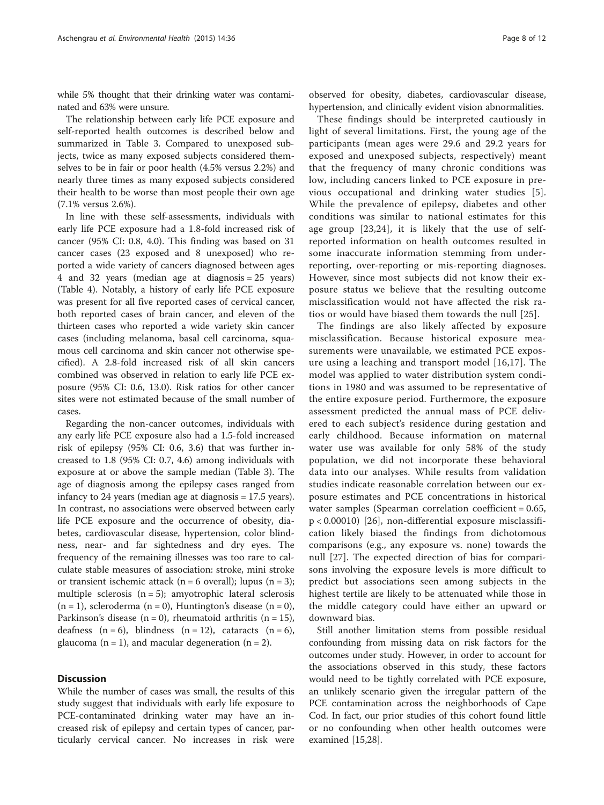while 5% thought that their drinking water was contaminated and 63% were unsure.

The relationship between early life PCE exposure and self-reported health outcomes is described below and summarized in Table [3](#page-8-0). Compared to unexposed subjects, twice as many exposed subjects considered themselves to be in fair or poor health (4.5% versus 2.2%) and nearly three times as many exposed subjects considered their health to be worse than most people their own age (7.1% versus 2.6%).

In line with these self-assessments, individuals with early life PCE exposure had a 1.8-fold increased risk of cancer (95% CI: 0.8, 4.0). This finding was based on 31 cancer cases (23 exposed and 8 unexposed) who reported a wide variety of cancers diagnosed between ages 4 and 32 years (median age at diagnosis = 25 years) (Table [4](#page-9-0)). Notably, a history of early life PCE exposure was present for all five reported cases of cervical cancer, both reported cases of brain cancer, and eleven of the thirteen cases who reported a wide variety skin cancer cases (including melanoma, basal cell carcinoma, squamous cell carcinoma and skin cancer not otherwise specified). A 2.8-fold increased risk of all skin cancers combined was observed in relation to early life PCE exposure (95% CI: 0.6, 13.0). Risk ratios for other cancer sites were not estimated because of the small number of cases.

Regarding the non-cancer outcomes, individuals with any early life PCE exposure also had a 1.5-fold increased risk of epilepsy (95% CI: 0.6, 3.6) that was further increased to 1.8 (95% CI: 0.7, 4.6) among individuals with exposure at or above the sample median (Table [3](#page-8-0)). The age of diagnosis among the epilepsy cases ranged from infancy to 24 years (median age at diagnosis = 17.5 years). In contrast, no associations were observed between early life PCE exposure and the occurrence of obesity, diabetes, cardiovascular disease, hypertension, color blindness, near- and far sightedness and dry eyes. The frequency of the remaining illnesses was too rare to calculate stable measures of association: stroke, mini stroke or transient ischemic attack ( $n = 6$  overall); lupus ( $n = 3$ ); multiple sclerosis  $(n = 5)$ ; amyotrophic lateral sclerosis  $(n = 1)$ , scleroderma  $(n = 0)$ , Huntington's disease  $(n = 0)$ , Parkinson's disease  $(n = 0)$ , rheumatoid arthritis  $(n = 15)$ , deafness  $(n = 6)$ , blindness  $(n = 12)$ , cataracts  $(n = 6)$ , glaucoma ( $n = 1$ ), and macular degeneration ( $n = 2$ ).

## **Discussion**

While the number of cases was small, the results of this study suggest that individuals with early life exposure to PCE-contaminated drinking water may have an increased risk of epilepsy and certain types of cancer, particularly cervical cancer. No increases in risk were

observed for obesity, diabetes, cardiovascular disease, hypertension, and clinically evident vision abnormalities.

These findings should be interpreted cautiously in light of several limitations. First, the young age of the participants (mean ages were 29.6 and 29.2 years for exposed and unexposed subjects, respectively) meant that the frequency of many chronic conditions was low, including cancers linked to PCE exposure in previous occupational and drinking water studies [[5](#page-10-0)]. While the prevalence of epilepsy, diabetes and other conditions was similar to national estimates for this age group [[23,24](#page-11-0)], it is likely that the use of selfreported information on health outcomes resulted in some inaccurate information stemming from underreporting, over-reporting or mis-reporting diagnoses. However, since most subjects did not know their exposure status we believe that the resulting outcome misclassification would not have affected the risk ratios or would have biased them towards the null [[25\]](#page-11-0).

The findings are also likely affected by exposure misclassification. Because historical exposure measurements were unavailable, we estimated PCE exposure using a leaching and transport model [[16](#page-10-0),[17\]](#page-11-0). The model was applied to water distribution system conditions in 1980 and was assumed to be representative of the entire exposure period. Furthermore, the exposure assessment predicted the annual mass of PCE delivered to each subject's residence during gestation and early childhood. Because information on maternal water use was available for only 58% of the study population, we did not incorporate these behavioral data into our analyses. While results from validation studies indicate reasonable correlation between our exposure estimates and PCE concentrations in historical water samples (Spearman correlation coefficient = 0.65, p < 0.00010) [\[26](#page-11-0)], non-differential exposure misclassification likely biased the findings from dichotomous comparisons (e.g., any exposure vs. none) towards the null [\[27](#page-11-0)]. The expected direction of bias for comparisons involving the exposure levels is more difficult to predict but associations seen among subjects in the highest tertile are likely to be attenuated while those in the middle category could have either an upward or downward bias.

Still another limitation stems from possible residual confounding from missing data on risk factors for the outcomes under study. However, in order to account for the associations observed in this study, these factors would need to be tightly correlated with PCE exposure, an unlikely scenario given the irregular pattern of the PCE contamination across the neighborhoods of Cape Cod. In fact, our prior studies of this cohort found little or no confounding when other health outcomes were examined [\[15](#page-10-0)[,28\]](#page-11-0).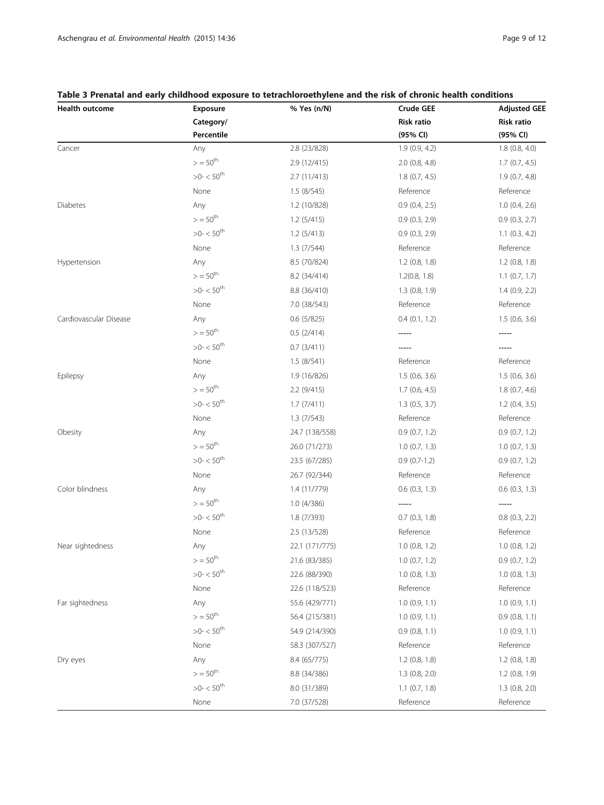| <b>Health outcome</b>  | <b>Exposure</b>          | % Yes (n/N)    | <b>Crude GEE</b>   | <b>Adjusted GEE</b> |
|------------------------|--------------------------|----------------|--------------------|---------------------|
|                        | Category/                |                | <b>Risk ratio</b>  | <b>Risk ratio</b>   |
|                        | Percentile               |                | (95% CI)           | (95% CI)            |
| Cancer                 | Any                      | 2.8 (23/828)   | 1.9(0.9, 4.2)      | $1.8$ (0.8, 4.0)    |
|                        | $> 50^{th}$              | 2.9 (12/415)   | 2.0 (0.8, 4.8)     | 1.7(0.7, 4.5)       |
|                        | $>0-$ < 50 <sup>th</sup> | 2.7(11/413)    | 1.8(0.7, 4.5)      | 1.9(0.7, 4.8)       |
|                        | None                     | 1.5(8/545)     | Reference          | Reference           |
| Diabetes               | Any                      | 1.2 (10/828)   | $0.9$ $(0.4, 2.5)$ | $1.0$ (0.4, 2.6)    |
|                        | $> 50^{th}$              | 1.2(5/415)     | $0.9$ $(0.3, 2.9)$ | 0.9(0.3, 2.7)       |
|                        | $>0-<50$ <sup>th</sup>   | 1.2(5/413)     | $0.9$ (0.3, 2.9)   | $1.1$ (0.3, 4.2)    |
|                        | None                     | 1.3(7/544)     | Reference          | Reference           |
| Hypertension           | Any                      | 8.5 (70/824)   | $1.2$ (0.8, 1.8)   | $1.2$ (0.8, 1.8)    |
|                        | $> = 50^{\text{th}}$     | 8.2 (34/414)   | 1.2(0.8, 1.8)      | $1.1$ (0.7, 1.7)    |
|                        | $>0-<50^{th}$            | 8.8 (36/410)   | $1.3$ (0.8, 1.9)   | 1.4(0.9, 2.2)       |
|                        | None                     | 7.0 (38/543)   | Reference          | Reference           |
| Cardiovascular Disease | Any                      | 0.6(5/825)     | $0.4$ $(0.1, 1.2)$ | $1.5$ (0.6, 3.6)    |
|                        | $>$ = 50 <sup>th</sup>   | 0.5(2/414)     |                    |                     |
|                        | $>0-$ < 50 <sup>th</sup> | 0.7(3/411)     |                    |                     |
|                        | None                     | 1.5(8/541)     | Reference          | Reference           |
| Epilepsy               | Any                      | 1.9 (16/826)   | $1.5$ (0.6, 3.6)   | $1.5$ (0.6, 3.6)    |
|                        | $>$ = 50 <sup>th</sup>   | 2.2(9/415)     | 1.7(0.6, 4.5)      | 1.8(0.7, 4.6)       |
|                        | $>0-<50^{th}$            | 1.7(7/411)     | $1.3$ (0.5, 3.7)   | $1.2$ (0.4, 3.5)    |
|                        | None                     | 1.3(7/543)     | Reference          | Reference           |
| Obesity                | Any                      | 24.7 (138/558) | 0.9(0.7, 1.2)      | 0.9(0.7, 1.2)       |
|                        | $>$ = 50 <sup>th</sup>   | 26.0 (71/273)  | $1.0$ (0.7, 1.3)   | 1.0(0.7, 1.3)       |
|                        | $>0-$ < 50 <sup>th</sup> | 23.5 (67/285)  | $0.9(0.7-1.2)$     | 0.9(0.7, 1.2)       |
|                        | None                     | 26.7 (92/344)  | Reference          | Reference           |
| Color blindness        | Any                      | 1.4 (11/779)   | $0.6$ $(0.3, 1.3)$ | $0.6$ $(0.3, 1.3)$  |
|                        | $> 50^{th}$              | 1.0(4/386)     |                    |                     |
|                        | $>0-<50^{th}$            | 1.8(7/393)     | $0.7$ $(0.3, 1.8)$ | $0.8$ $(0.3, 2.2)$  |
|                        | None                     | 2.5 (13/528)   | Reference          | Reference           |
| Near sightedness       | Any                      | 22.1 (171/775) | $1.0$ (0.8, 1.2)   | $1.0$ (0.8, 1.2)    |
|                        | $>$ = 50 <sup>th</sup>   | 21.6 (83/385)  | $1.0$ (0.7, 1.2)   | 0.9(0.7, 1.2)       |
|                        | $>0-<50^{th}$            | 22.6 (88/390)  | $1.0$ (0.8, 1.3)   | $1.0$ (0.8, 1.3)    |
|                        | None                     | 22.6 (118/523) | Reference          | Reference           |
| Far sightedness        | Any                      | 55.6 (429/771) | $1.0$ (0.9, 1.1)   | 1.0(0.9, 1.1)       |
|                        | $>$ = 50 <sup>th</sup>   | 56.4 (215/381) | $1.0$ (0.9, 1.1)   | 0.9(0.8, 1.1)       |
|                        | $>0-$ < 50 <sup>th</sup> | 54.9 (214/390) | $0.9$ $(0.8, 1.1)$ | 1.0(0.9, 1.1)       |
|                        | None                     | 58.3 (307/527) | Reference          | Reference           |
| Dry eyes               | Any                      | 8.4 (65/775)   | $1.2$ (0.8, 1.8)   | $1.2$ (0.8, 1.8)    |
|                        | $> 50^{th}$              | 8.8 (34/386)   | $1.3$ (0.8, 2.0)   | $1.2$ (0.8, 1.9)    |
|                        | $>0-<50$ <sup>th</sup>   | 8.0 (31/389)   | $1.1$ (0.7, 1.8)   | $1.3$ (0.8, 2.0)    |
|                        | None                     | 7.0 (37/528)   | Reference          | Reference           |

## <span id="page-8-0"></span>Table 3 Prenatal and early childhood exposure to tetrachloroethylene and the risk of chronic health conditions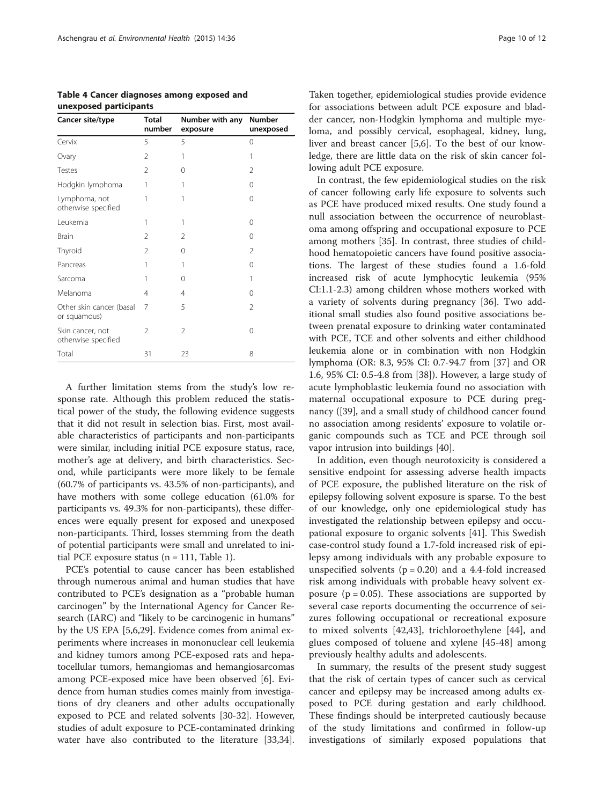<span id="page-9-0"></span>

| Table 4 Cancer diagnoses among exposed and |  |  |
|--------------------------------------------|--|--|
| unexposed participants                     |  |  |

| Cancer site/type                         | <b>Total</b><br>number | Number with any<br>exposure | <b>Number</b><br>unexposed |  |
|------------------------------------------|------------------------|-----------------------------|----------------------------|--|
| Cervix                                   | 5                      | 5                           | $\Omega$                   |  |
| Ovary                                    | 2                      |                             |                            |  |
| Testes                                   | 2                      | 0                           | 2                          |  |
| Hodgkin lymphoma                         | 1                      | 1                           | 0                          |  |
| Lymphoma, not<br>otherwise specified     | 1                      | 1                           | $\Omega$                   |  |
| Leukemia                                 |                        | 1                           | $\Omega$                   |  |
| <b>Brain</b>                             | $\mathcal{P}$          | 2                           | 0                          |  |
| Thyroid                                  | 2                      | 0                           | 2                          |  |
| Pancreas                                 | 1                      | 1                           | $\Omega$                   |  |
| Sarcoma                                  | 1                      | 0                           | 1                          |  |
| Melanoma                                 | $\overline{4}$         | 4                           | 0                          |  |
| Other skin cancer (basal<br>or squamous) | 7                      | 5                           | $\mathcal{P}$              |  |
| Skin cancer, not<br>otherwise specified  | 2                      | 2                           | 0                          |  |
| Total                                    | 31                     | 23                          | 8                          |  |

A further limitation stems from the study's low response rate. Although this problem reduced the statistical power of the study, the following evidence suggests that it did not result in selection bias. First, most available characteristics of participants and non-participants were similar, including initial PCE exposure status, race, mother's age at delivery, and birth characteristics. Second, while participants were more likely to be female (60.7% of participants vs. 43.5% of non-participants), and have mothers with some college education (61.0% for participants vs. 49.3% for non-participants), these differences were equally present for exposed and unexposed non-participants. Third, losses stemming from the death of potential participants were small and unrelated to initial PCE exposure status ( $n = 111$ , Table [1\)](#page-2-0).

PCE's potential to cause cancer has been established through numerous animal and human studies that have contributed to PCE's designation as a "probable human carcinogen" by the International Agency for Cancer Research (IARC) and "likely to be carcinogenic in humans" by the US EPA [[5,6,](#page-10-0)[29\]](#page-11-0). Evidence comes from animal experiments where increases in mononuclear cell leukemia and kidney tumors among PCE-exposed rats and hepatocellular tumors, hemangiomas and hemangiosarcomas among PCE-exposed mice have been observed [\[6](#page-10-0)]. Evidence from human studies comes mainly from investigations of dry cleaners and other adults occupationally exposed to PCE and related solvents [[30-32\]](#page-11-0). However, studies of adult exposure to PCE-contaminated drinking water have also contributed to the literature [\[33,34](#page-11-0)]. Taken together, epidemiological studies provide evidence for associations between adult PCE exposure and bladder cancer, non-Hodgkin lymphoma and multiple myeloma, and possibly cervical, esophageal, kidney, lung, liver and breast cancer [\[5,6](#page-10-0)]. To the best of our knowledge, there are little data on the risk of skin cancer following adult PCE exposure.

In contrast, the few epidemiological studies on the risk of cancer following early life exposure to solvents such as PCE have produced mixed results. One study found a null association between the occurrence of neuroblastoma among offspring and occupational exposure to PCE among mothers [[35](#page-11-0)]. In contrast, three studies of childhood hematopoietic cancers have found positive associations. The largest of these studies found a 1.6-fold increased risk of acute lymphocytic leukemia (95% CI:1.1-2.3) among children whose mothers worked with a variety of solvents during pregnancy [\[36\]](#page-11-0). Two additional small studies also found positive associations between prenatal exposure to drinking water contaminated with PCE, TCE and other solvents and either childhood leukemia alone or in combination with non Hodgkin lymphoma (OR: 8.3, 95% CI: 0.7-94.7 from [[37\]](#page-11-0) and OR 1.6, 95% CI: 0.5-4.8 from [\[38\]](#page-11-0)). However, a large study of acute lymphoblastic leukemia found no association with maternal occupational exposure to PCE during pregnancy ([[39\]](#page-11-0), and a small study of childhood cancer found no association among residents' exposure to volatile organic compounds such as TCE and PCE through soil vapor intrusion into buildings [\[40\]](#page-11-0).

In addition, even though neurotoxicity is considered a sensitive endpoint for assessing adverse health impacts of PCE exposure, the published literature on the risk of epilepsy following solvent exposure is sparse. To the best of our knowledge, only one epidemiological study has investigated the relationship between epilepsy and occupational exposure to organic solvents [[41](#page-11-0)]. This Swedish case-control study found a 1.7-fold increased risk of epilepsy among individuals with any probable exposure to unspecified solvents ( $p = 0.20$ ) and a 4.4-fold increased risk among individuals with probable heavy solvent exposure ( $p = 0.05$ ). These associations are supported by several case reports documenting the occurrence of seizures following occupational or recreational exposure to mixed solvents [[42,43\]](#page-11-0), trichloroethylene [[44\]](#page-11-0), and glues composed of toluene and xylene [[45-48\]](#page-11-0) among previously healthy adults and adolescents.

In summary, the results of the present study suggest that the risk of certain types of cancer such as cervical cancer and epilepsy may be increased among adults exposed to PCE during gestation and early childhood. These findings should be interpreted cautiously because of the study limitations and confirmed in follow-up investigations of similarly exposed populations that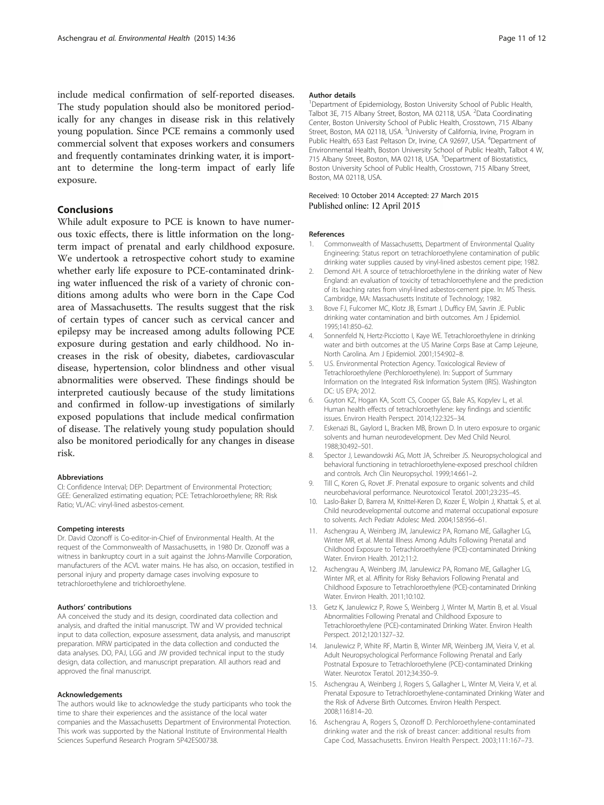<span id="page-10-0"></span>include medical confirmation of self-reported diseases. The study population should also be monitored periodically for any changes in disease risk in this relatively young population. Since PCE remains a commonly used commercial solvent that exposes workers and consumers and frequently contaminates drinking water, it is important to determine the long-term impact of early life exposure.

## Conclusions

While adult exposure to PCE is known to have numerous toxic effects, there is little information on the longterm impact of prenatal and early childhood exposure. We undertook a retrospective cohort study to examine whether early life exposure to PCE-contaminated drinking water influenced the risk of a variety of chronic conditions among adults who were born in the Cape Cod area of Massachusetts. The results suggest that the risk of certain types of cancer such as cervical cancer and epilepsy may be increased among adults following PCE exposure during gestation and early childhood. No increases in the risk of obesity, diabetes, cardiovascular disease, hypertension, color blindness and other visual abnormalities were observed. These findings should be interpreted cautiously because of the study limitations and confirmed in follow-up investigations of similarly exposed populations that include medical confirmation of disease. The relatively young study population should also be monitored periodically for any changes in disease risk.

#### Abbreviations

CI: Confidence Interval; DEP: Department of Environmental Protection; GEE: Generalized estimating equation; PCE: Tetrachloroethylene; RR: Risk Ratio; VL/AC: vinyl-lined asbestos-cement.

#### Competing interests

Dr. David Ozonoff is Co-editor-in-Chief of Environmental Health. At the request of the Commonwealth of Massachusetts, in 1980 Dr. Ozonoff was a witness in bankruptcy court in a suit against the Johns-Manville Corporation, manufacturers of the ACVL water mains. He has also, on occasion, testified in personal injury and property damage cases involving exposure to tetrachloroethylene and trichloroethylene.

#### Authors' contributions

AA conceived the study and its design, coordinated data collection and analysis, and drafted the initial manuscript. TW and VV provided technical input to data collection, exposure assessment, data analysis, and manuscript preparation. MRW participated in the data collection and conducted the data analyses. DO, PAJ, LGG and JW provided technical input to the study design, data collection, and manuscript preparation. All authors read and approved the final manuscript.

#### Acknowledgements

The authors would like to acknowledge the study participants who took the time to share their experiences and the assistance of the local water companies and the Massachusetts Department of Environmental Protection. This work was supported by the National Institute of Environmental Health Sciences Superfund Research Program 5P42ES00738.

#### Author details

<sup>1</sup>Department of Epidemiology, Boston University School of Public Health, Talbot 3E, 715 Albany Street, Boston, MA 02118, USA. <sup>2</sup>Data Coordinating Center, Boston University School of Public Health, Crosstown, 715 Albany Street, Boston, MA 02118, USA. <sup>3</sup>University of California, Irvine, Program in Public Health, 653 East Peltason Dr, Irvine, CA 92697, USA. <sup>4</sup>Department of Environmental Health, Boston University School of Public Health, Talbot 4 W, 715 Albany Street, Boston, MA 02118, USA. <sup>5</sup>Department of Biostatistics Boston University School of Public Health, Crosstown, 715 Albany Street, Boston, MA 02118, USA.

## Received: 10 October 2014 Accepted: 27 March 2015 Published online: 12 April 2015

#### References

- 1. Commonwealth of Massachusetts, Department of Environmental Quality Engineering: Status report on tetrachloroethylene contamination of public drinking water supplies caused by vinyl-lined asbestos cement pipe; 1982.
- 2. Demond AH. A source of tetrachloroethylene in the drinking water of New England: an evaluation of toxicity of tetrachloroethylene and the prediction of its leaching rates from vinyl-lined asbestos-cement pipe. In: MS Thesis. Cambridge, MA: Massachusetts Institute of Technology; 1982.
- 3. Bove FJ, Fulcomer MC, Klotz JB, Esmart J, Dufficy EM, Savrin JE. Public drinking water contamination and birth outcomes. Am J Epidemiol. 1995;141:850–62.
- 4. Sonnenfeld N, Hertz-Picciotto I, Kaye WE. Tetrachloroethylene in drinking water and birth outcomes at the US Marine Corps Base at Camp Lejeune, North Carolina. Am J Epidemiol. 2001;154:902–8.
- 5. U.S. Environmental Protection Agency. Toxicological Review of Tetrachloroethylene (Perchloroethylene). In: Support of Summary Information on the Integrated Risk Information System (IRIS). Washington DC: US EPA; 2012.
- 6. Guyton KZ, Hogan KA, Scott CS, Cooper GS, Bale AS, Kopylev L, et al. Human health effects of tetrachloroethylene: key findings and scientific issues. Environ Health Perspect. 2014;122:325–34.
- 7. Eskenazi BL, Gaylord L, Bracken MB, Brown D. In utero exposure to organic solvents and human neurodevelopment. Dev Med Child Neurol. 1988;30:492–501.
- Spector J, Lewandowski AG, Mott JA, Schreiber JS. Neuropsychological and behavioral functioning in tetrachloroethylene-exposed preschool children and controls. Arch Clin Neuropsychol. 1999;14:661–2.
- 9. Till C, Koren G, Rovet JF. Prenatal exposure to organic solvents and child neurobehavioral performance. Neurotoxicol Teratol. 2001;23:235–45.
- 10. Laslo-Baker D, Barrera M, Knittel-Keren D, Kozer E, Wolpin J, Khattak S, et al. Child neurodevelopmental outcome and maternal occupational exposure to solvents. Arch Pediatr Adolesc Med. 2004;158:956–61.
- 11. Aschengrau A, Weinberg JM, Janulewicz PA, Romano ME, Gallagher LG, Winter MR, et al. Mental Illness Among Adults Following Prenatal and Childhood Exposure to Tetrachloroethylene (PCE)-contaminated Drinking Water. Environ Health. 2012;11:2.
- 12. Aschengrau A, Weinberg JM, Janulewicz PA, Romano ME, Gallagher LG, Winter MR, et al. Affinity for Risky Behaviors Following Prenatal and Childhood Exposure to Tetrachloroethylene (PCE)-contaminated Drinking Water. Environ Health. 2011;10:102.
- 13. Getz K, Janulewicz P, Rowe S, Weinberg J, Winter M, Martin B, et al. Visual Abnormalities Following Prenatal and Childhood Exposure to Tetrachloroethylene (PCE)-contaminated Drinking Water. Environ Health Perspect. 2012;120:1327–32.
- 14. Janulewicz P, White RF, Martin B, Winter MR, Weinberg JM, Vieira V, et al. Adult Neuropsychological Performance Following Prenatal and Early Postnatal Exposure to Tetrachloroethylene (PCE)-contaminated Drinking Water. Neurotox Teratol. 2012;34:350–9.
- 15. Aschengrau A, Weinberg J, Rogers S, Gallagher L, Winter M, Vieira V, et al. Prenatal Exposure to Tetrachloroethylene-contaminated Drinking Water and the Risk of Adverse Birth Outcomes. Environ Health Perspect. 2008;116:814–20.
- 16. Aschengrau A, Rogers S, Ozonoff D. Perchloroethylene-contaminated drinking water and the risk of breast cancer: additional results from Cape Cod, Massachusetts. Environ Health Perspect. 2003;111:167–73.